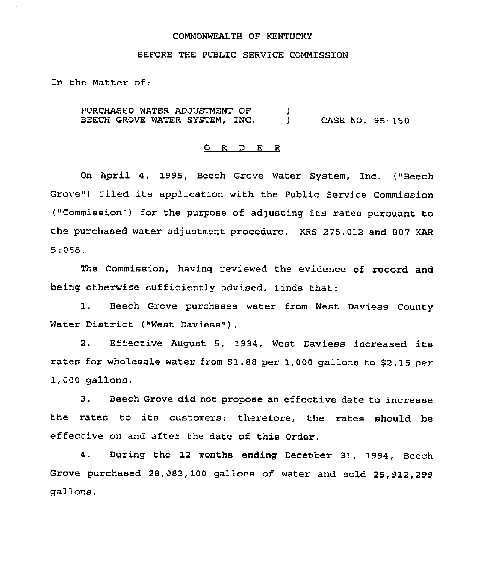### COMMONWEALTH OF KENTUCKY

### BEFORE THE PUBLIC SERVICE COMMISSION

In the Matter of:

PURCHASED WATER ADJUSTMENT OF  $\qquad$  )<br>BEECH GROVE WATER SYSTEM, INC.  $\qquad$  ) BEECH GROVE WATER SYSTEM, INC. ) CASE NO. 95-150

### 0 R <sup>D</sup> E R

On April 4, 1995, Beech Grove Water System, Inc. ("Beech Grove") filed its application with the Public Service Commission ("Commission") for the purpose of adjusting its rates pursuant to the purchased water adjustment procedure. KRS 278.012 and 807 KAR 5:068.

The Commission, having reviewed the evidence of record and being otherwise sufficiently advised, finds that:

1. Beech Grove purchases water from West Daviess County Water District ("West Daviess") .

2. Effective August 5, 1994, West Daviess increased its rates for wholesale water from 81.88 per 1,000 gallons to 82.15 per 1,000 gallons.

3. Beech Grove did not propose an effective date to increase the rates to its customers; therefore, the rates should be effective on and after the date of this Order.

4. During the 12 months ending December 31, 1994, Beech Grove purchased 28,083,100 gallons of water and sold 25,912,299 gallons.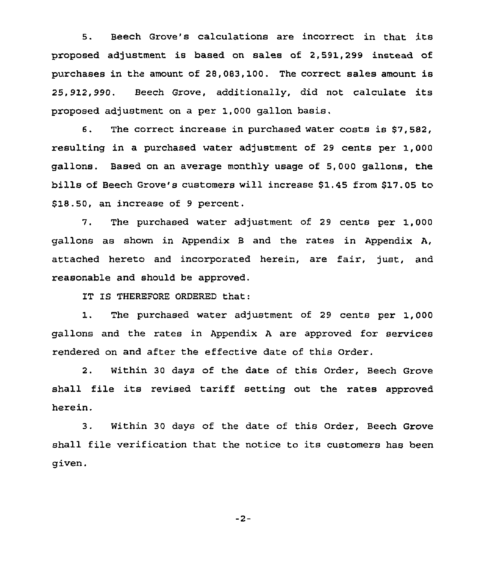5. Beech Grove's calculations are incorrect in that its proposed adjustment is based on sales of 2,591,299 instead of purchases in the amount of 28,083,100. The correct sales amount is 25,912,990. Beech Grove, additionally, did not calculate its proposed adjustment on a per 1,000 gallon basis.

6. The correct increase in purchased water costs is \$7,582, resulting in a purchased water adjustment of 29 cents per 1,000 gallons. Based on an average monthly usage of 5,000 gallons, the bills of Beech Grove's customers will increase \$1.45 from \$17.05 to \$18.50, an increase of 9 percent.

7, The purchased water adjustment of 29 cents per 1,000 gallons as shown in Appendix B and the rates in Appendix A, attached hereto and incorporated herein, are fair, just, and reasonable and should be appxoved.

1T IS THEREFORE ORDERED that:

1. The purchased water adjustment of <sup>29</sup> cents per 1, <sup>000</sup> gallons and the rates in Appendix <sup>A</sup> are approved for services rendered on and after the effective date of this Order.

2. Within 30 days of the date of this Order, Beech Grove shall file its revised tariff setting out the rates approved herein.

3. Within 30 days of the date of this Order, Beech Grove shall file verification that the notice to its customers has been given.

 $-2-$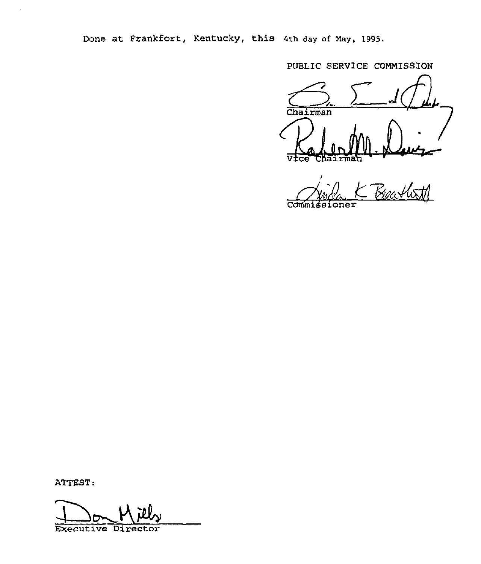Done at Frankfort, Kentucky, this 4th day of Nay, 1995.

PUBLIC SERVICE COMMISSION

Chairman Davis KahendM  $\Delta E$ 

Jula K Beatlett ssioner

ATTEST:

 $\overline{a}$ 

Executive Director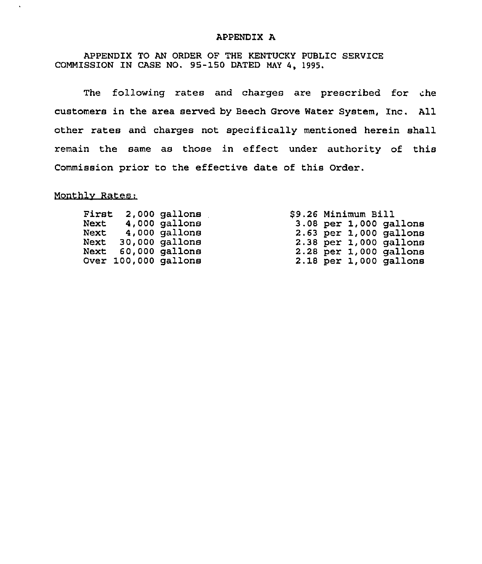### APPENDIX A

APPENDIX TO AN ORDER OF THE KENTUCKY PUBLIC SERVICE COMMISSION IN CASE NO. 95-150 DATED MAY 4, 1995.

The following rates and charges are prescribed for che customers in the area served by Beech Grove Water System, Inc. All other rates and charges not specifically mentioned herein shall remain the same as those in effect under authority of this Commission prior to the effective date of this Order.

# Monthly Rates:

 $\ddot{\phantom{a}}$ 

| First | 2,000 gallons        |  | \$9.26 Minimum Bill |                            |
|-------|----------------------|--|---------------------|----------------------------|
|       | Next 4,000 gallons   |  |                     | $3.08$ per $1,000$ gallons |
|       | Next 4,000 gallons   |  |                     | $2.63$ per $1,000$ gallons |
|       | Next 30,000 gallons  |  |                     | $2.38$ per 1,000 gallons   |
|       | Next 60,000 gallons  |  |                     | $2.28$ per 1,000 gallons   |
|       | Over 100,000 gallons |  |                     | $2.18$ per 1,000 gallons   |